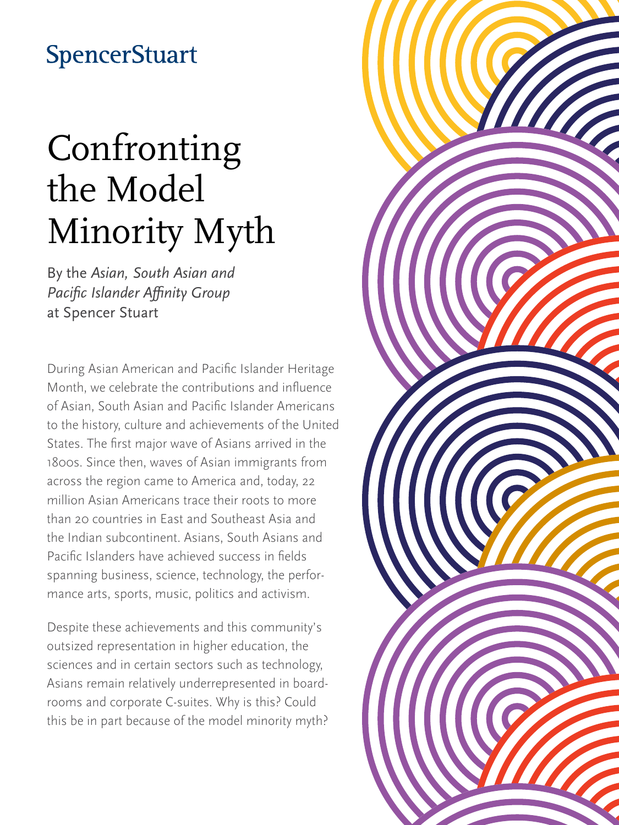## **SpencerStuart**

# Confronting the Model Minority Myth

By the *Asian, South Asian and Pacific Islander Affinity Group* at Spencer Stuart

During Asian American and Pacific Islander Heritage Month, we celebrate the contributions and influence of Asian, South Asian and Pacific Islander Americans to the history, culture and achievements of the United States. The first major wave of Asians arrived in the 1800s. Since then, waves of Asian immigrants from across the region came to America and, today, 22 million Asian Americans trace their roots to more than 20 countries in East and Southeast Asia and the Indian subcontinent. Asians, South Asians and Pacific Islanders have achieved success in fields spanning business, science, technology, the performance arts, sports, music, politics and activism.

Despite these achievements and this community's outsized representation in higher education, the sciences and in certain sectors such as technology, Asians remain relatively underrepresented in boardrooms and corporate C-suites. Why is this? Could this be in part because of the model minority myth?

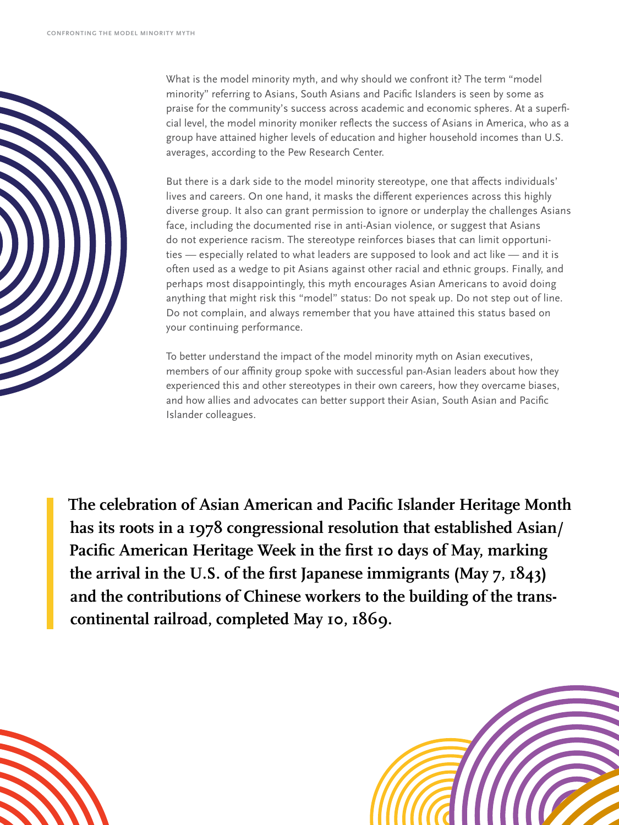

What is the model minority myth, and why should we confront it? The term "model minority" referring to Asians, South Asians and Pacific Islanders is seen by some as praise for the community's success across academic and economic spheres. At a superficial level, the model minority moniker reflects the success of Asians in America, who as a group have attained higher levels of education and higher household incomes than U.S. averages, according to the Pew Research Center.

But there is a dark side to the model minority stereotype, one that affects individuals' lives and careers. On one hand, it masks the different experiences across this highly diverse group. It also can grant permission to ignore or underplay the challenges Asians face, including the documented rise in anti-Asian violence, or suggest that Asians do not experience racism. The stereotype reinforces biases that can limit opportunities — especially related to what leaders are supposed to look and act like — and it is often used as a wedge to pit Asians against other racial and ethnic groups. Finally, and perhaps most disappointingly, this myth encourages Asian Americans to avoid doing anything that might risk this "model" status: Do not speak up. Do not step out of line. Do not complain, and always remember that you have attained this status based on your continuing performance.

To better understand the impact of the model minority myth on Asian executives, members of our affinity group spoke with successful pan-Asian leaders about how they experienced this and other stereotypes in their own careers, how they overcame biases, and how allies and advocates can better support their Asian, South Asian and Pacific Islander colleagues.

**The celebration of Asian American and Pacific Islander Heritage Month has its roots in a 1978 congressional resolution that established Asian/ Pacific American Heritage Week in the first 10 days of May, marking the arrival in the U.S. of the first Japanese immigrants (May 7, 1843) and the contributions of Chinese workers to the building of the transcontinental railroad, completed May 10, 1869.**

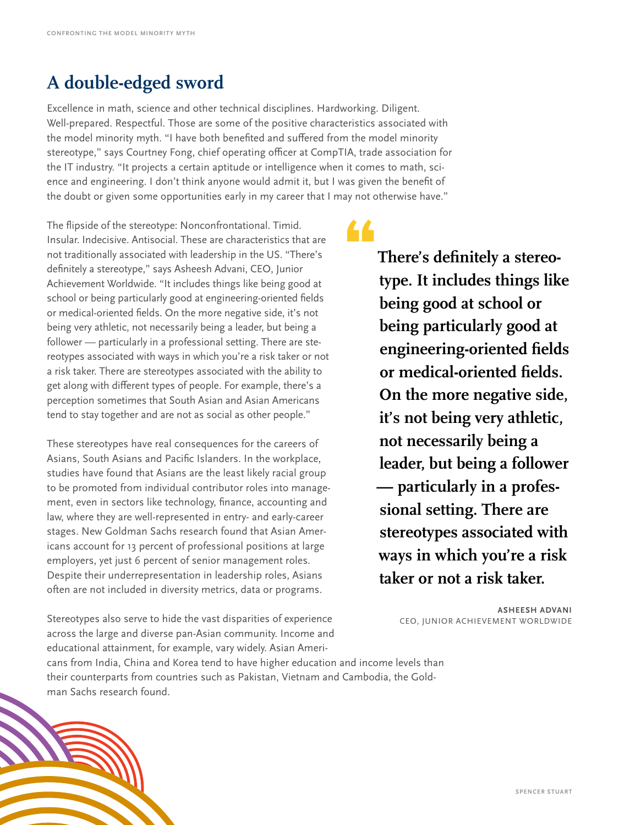#### **A double-edged sword**

Excellence in math, science and other technical disciplines. Hardworking. Diligent. Well-prepared. Respectful. Those are some of the positive characteristics associated with the model minority myth. "I have both benefited and suffered from the model minority stereotype," says Courtney Fong, chief operating officer at CompTIA, trade association for the IT industry. "It projects a certain aptitude or intelligence when it comes to math, science and engineering. I don't think anyone would admit it, but I was given the benefit of the doubt or given some opportunities early in my career that I may not otherwise have."

•

The flipside of the stereotype: Nonconfrontational. Timid. Insular. Indecisive. Antisocial. These are characteristics that are not traditionally associated with leadership in the US. "There's definitely a stereotype," says Asheesh Advani, CEO, Junior Achievement Worldwide. "It includes things like being good at school or being particularly good at engineering-oriented fields or medical-oriented fields. On the more negative side, it's not being very athletic, not necessarily being a leader, but being a follower — particularly in a professional setting. There are stereotypes associated with ways in which you're a risk taker or not a risk taker. There are stereotypes associated with the ability to get along with different types of people. For example, there's a perception sometimes that South Asian and Asian Americans tend to stay together and are not as social as other people."

These stereotypes have real consequences for the careers of Asians, South Asians and Pacific Islanders. In the workplace, studies have found that Asians are the least likely racial group to be promoted from individual contributor roles into management, even in sectors like technology, finance, accounting and law, where they are well-represented in entry- and early-career stages. New Goldman Sachs research found that Asian Americans account for 13 percent of professional positions at large employers, yet just 6 percent of senior management roles. Despite their underrepresentation in leadership roles, Asians often are not included in diversity metrics, data or programs.

**There's definitely a stereotype. It includes things like being good at school or being particularly good at engineering-oriented fields or medical-oriented fields. On the more negative side, it's not being very athletic, not necessarily being a leader, but being a follower — particularly in a professional setting. There are stereotypes associated with ways in which you're a risk taker or not a risk taker.**

Stereotypes also serve to hide the vast disparities of experience across the large and diverse pan-Asian community. Income and educational attainment, for example, vary widely. Asian Ameri-

**ASHEESH ADVANI** CEO, JUNIOR ACHIEVEMENT WORLDWIDE

cans from India, China and Korea tend to have higher education and income levels than their counterparts from countries such as Pakistan, Vietnam and Cambodia, the Goldman Sachs research found.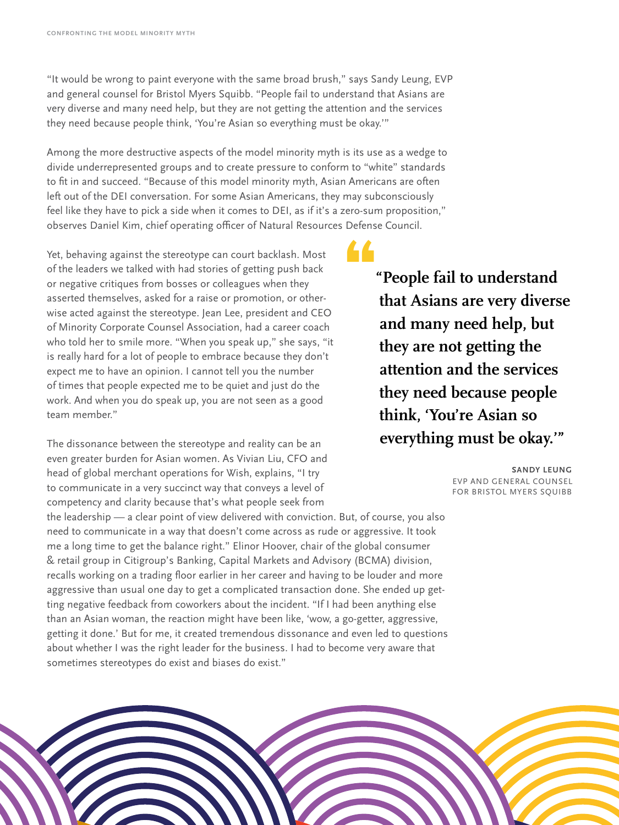"It would be wrong to paint everyone with the same broad brush," says Sandy Leung, EVP and general counsel for Bristol Myers Squibb. "People fail to understand that Asians are very diverse and many need help, but they are not getting the attention and the services they need because people think, 'You're Asian so everything must be okay.'"

Among the more destructive aspects of the model minority myth is its use as a wedge to divide underrepresented groups and to create pressure to conform to "white" standards to fit in and succeed. "Because of this model minority myth, Asian Americans are often left out of the DEI conversation. For some Asian Americans, they may subconsciously feel like they have to pick a side when it comes to DEI, as if it's a zero-sum proposition," observes Daniel Kim, chief operating officer of Natural Resources Defense Council.

Yet, behaving against the stereotype can court backlash. Most of the leaders we talked with had stories of getting push back or negative critiques from bosses or colleagues when they asserted themselves, asked for a raise or promotion, or otherwise acted against the stereotype. Jean Lee, president and CEO of Minority Corporate Counsel Association, had a career coach who told her to smile more. "When you speak up," she says, "it is really hard for a lot of people to embrace because they don't expect me to have an opinion. I cannot tell you the number of times that people expected me to be quiet and just do the work. And when you do speak up, you are not seen as a good team member."

The dissonance between the stereotype and reality can be an even greater burden for Asian women. As Vivian Liu, CFO and head of global merchant operations for Wish, explains, "I try to communicate in a very succinct way that conveys a level of competency and clarity because that's what people seek from

the leadership — a clear point of view delivered with conviction. But, of course, you also need to communicate in a way that doesn't come across as rude or aggressive. It took me a long time to get the balance right." Elinor Hoover, chair of the global consumer & retail group in Citigroup's Banking, Capital Markets and Advisory (BCMA) division, recalls working on a trading floor earlier in her career and having to be louder and more aggressive than usual one day to get a complicated transaction done. She ended up getting negative feedback from coworkers about the incident. "If I had been anything else than an Asian woman, the reaction might have been like, 'wow, a go-getter, aggressive, getting it done.' But for me, it created tremendous dissonance and even led to questions about whether I was the right leader for the business. I had to become very aware that sometimes stereotypes do exist and biases do exist."

**"People fail to understand that Asians are very diverse and many need help, but they are not getting the attention and the services they need because people think, 'You're Asian so everything must be okay.'"**

> **SANDY LEUNG** EVP AND GENERAL COUNSEL FOR BRISTOL MYERS SQUIBB

•

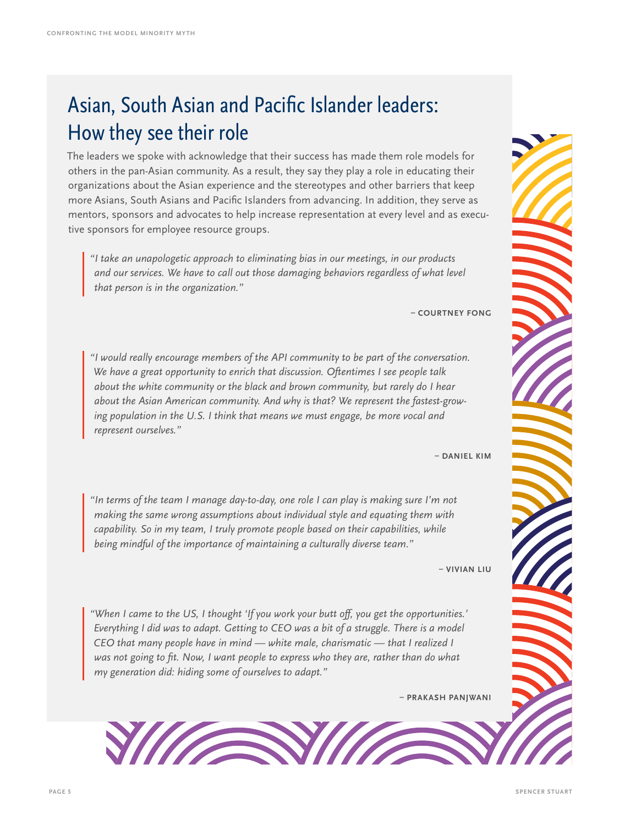### Asian, South Asian and Pacific Islander leaders: How they see their role

The leaders we spoke with acknowledge that their success has made them role models for others in the pan-Asian community. As a result, they say they play a role in educating their organizations about the Asian experience and the stereotypes and other barriers that keep more Asians, South Asians and Pacific Islanders from advancing. In addition, they serve as mentors, sponsors and advocates to help increase representation at every level and as executive sponsors for employee resource groups.

*"I take an unapologetic approach to eliminating bias in our meetings, in our products and our services. We have to call out those damaging behaviors regardless of what level that person is in the organization."* 

**– COURTNEY FONG**

*"I would really encourage members of the API community to be part of the conversation. We have a great opportunity to enrich that discussion. Oftentimes I see people talk about the white community or the black and brown community, but rarely do I hear about the Asian American community. And why is that? We represent the fastest-growing population in the U.S. I think that means we must engage, be more vocal and represent ourselves."*

**– DANIEL KIM**

*"In terms of the team I manage day-to-day, one role I can play is making sure I'm not making the same wrong assumptions about individual style and equating them with capability. So in my team, I truly promote people based on their capabilities, while being mindful of the importance of maintaining a culturally diverse team."* 

**– VIVIAN LIU** 

*"When I came to the US, I thought 'If you work your butt off, you get the opportunities.' Everything I did was to adapt. Getting to CEO was a bit of a struggle. There is a model CEO that many people have in mind — white male, charismatic — that I realized I*  was not going to fit. Now, I want people to express who they are, rather than do what *my generation did: hiding some of ourselves to adapt."* 

**– PRAKASH PANJWANI**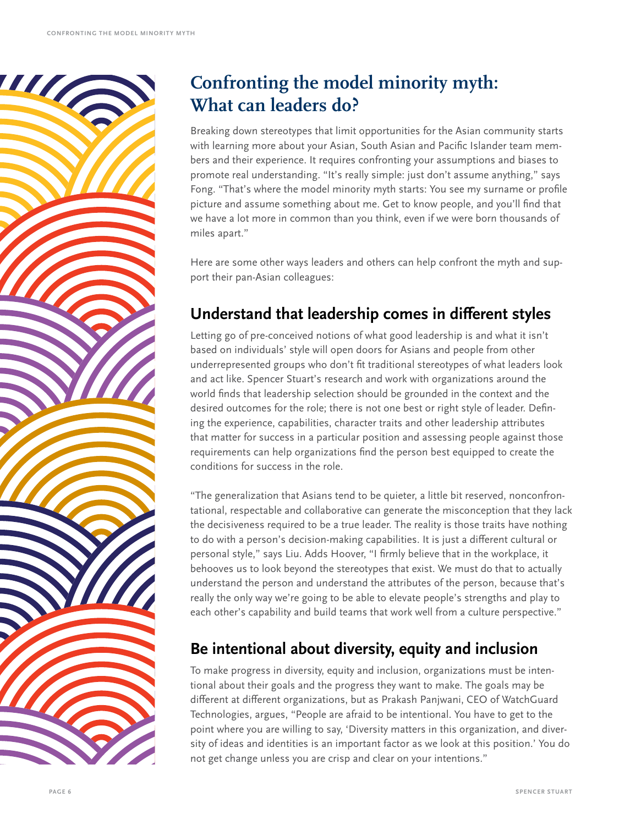

#### **Confronting the model minority myth: What can leaders do?**

Breaking down stereotypes that limit opportunities for the Asian community starts with learning more about your Asian, South Asian and Pacific Islander team members and their experience. It requires confronting your assumptions and biases to promote real understanding. "It's really simple: just don't assume anything," says Fong. "That's where the model minority myth starts: You see my surname or profile picture and assume something about me. Get to know people, and you'll find that we have a lot more in common than you think, even if we were born thousands of miles apart."

Here are some other ways leaders and others can help confront the myth and support their pan-Asian colleagues:

#### **Understand that leadership comes in different styles**

Letting go of pre-conceived notions of what good leadership is and what it isn't based on individuals' style will open doors for Asians and people from other underrepresented groups who don't fit traditional stereotypes of what leaders look and act like. Spencer Stuart's research and work with organizations around the world finds that leadership selection should be grounded in the context and the desired outcomes for the role; there is not one best or right style of leader. Defining the experience, capabilities, character traits and other leadership attributes that matter for success in a particular position and assessing people against those requirements can help organizations find the person best equipped to create the conditions for success in the role.

"The generalization that Asians tend to be quieter, a little bit reserved, nonconfrontational, respectable and collaborative can generate the misconception that they lack the decisiveness required to be a true leader. The reality is those traits have nothing to do with a person's decision-making capabilities. It is just a different cultural or personal style," says Liu. Adds Hoover, "I firmly believe that in the workplace, it behooves us to look beyond the stereotypes that exist. We must do that to actually understand the person and understand the attributes of the person, because that's really the only way we're going to be able to elevate people's strengths and play to each other's capability and build teams that work well from a culture perspective."

#### **Be intentional about diversity, equity and inclusion**

To make progress in diversity, equity and inclusion, organizations must be intentional about their goals and the progress they want to make. The goals may be different at different organizations, but as Prakash Panjwani, CEO of WatchGuard Technologies, argues, "People are afraid to be intentional. You have to get to the point where you are willing to say, 'Diversity matters in this organization, and diversity of ideas and identities is an important factor as we look at this position.' You do not get change unless you are crisp and clear on your intentions."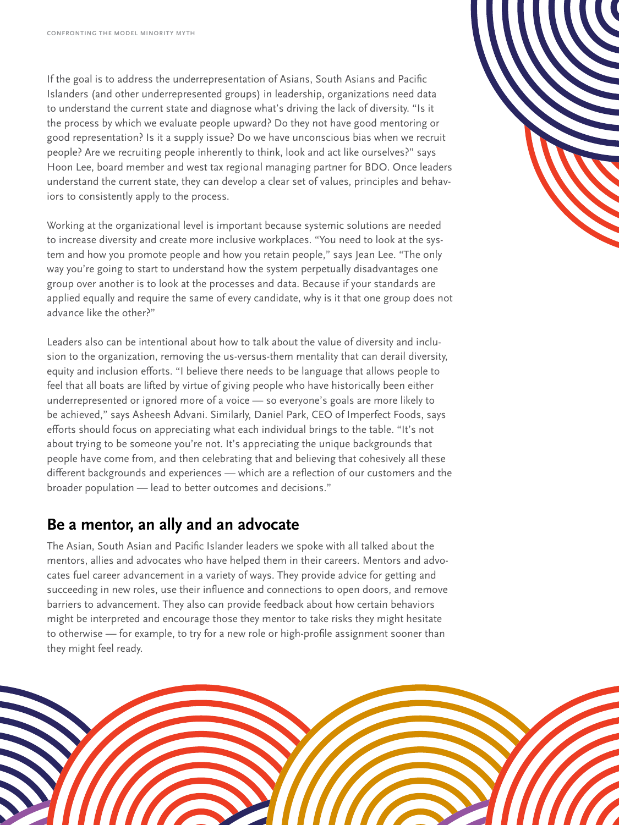If the goal is to address the underrepresentation of Asians, South Asians and Pacific Islanders (and other underrepresented groups) in leadership, organizations need data to understand the current state and diagnose what's driving the lack of diversity. "Is it the process by which we evaluate people upward? Do they not have good mentoring or good representation? Is it a supply issue? Do we have unconscious bias when we recruit people? Are we recruiting people inherently to think, look and act like ourselves?" says Hoon Lee, board member and west tax regional managing partner for BDO. Once leaders understand the current state, they can develop a clear set of values, principles and behaviors to consistently apply to the process.

Working at the organizational level is important because systemic solutions are needed to increase diversity and create more inclusive workplaces. "You need to look at the system and how you promote people and how you retain people," says Jean Lee. "The only way you're going to start to understand how the system perpetually disadvantages one group over another is to look at the processes and data. Because if your standards are applied equally and require the same of every candidate, why is it that one group does not advance like the other?"

Leaders also can be intentional about how to talk about the value of diversity and inclusion to the organization, removing the us-versus-them mentality that can derail diversity, equity and inclusion efforts. "I believe there needs to be language that allows people to feel that all boats are lifted by virtue of giving people who have historically been either underrepresented or ignored more of a voice — so everyone's goals are more likely to be achieved," says Asheesh Advani. Similarly, Daniel Park, CEO of Imperfect Foods, says efforts should focus on appreciating what each individual brings to the table. "It's not about trying to be someone you're not. It's appreciating the unique backgrounds that people have come from, and then celebrating that and believing that cohesively all these different backgrounds and experiences — which are a reflection of our customers and the broader population — lead to better outcomes and decisions."

#### **Be a mentor, an ally and an advocate**

The Asian, South Asian and Pacific Islander leaders we spoke with all talked about the mentors, allies and advocates who have helped them in their careers. Mentors and advocates fuel career advancement in a variety of ways. They provide advice for getting and succeeding in new roles, use their influence and connections to open doors, and remove barriers to advancement. They also can provide feedback about how certain behaviors might be interpreted and encourage those they mentor to take risks they might hesitate to otherwise — for example, to try for a new role or high-profile assignment sooner than they might feel ready.



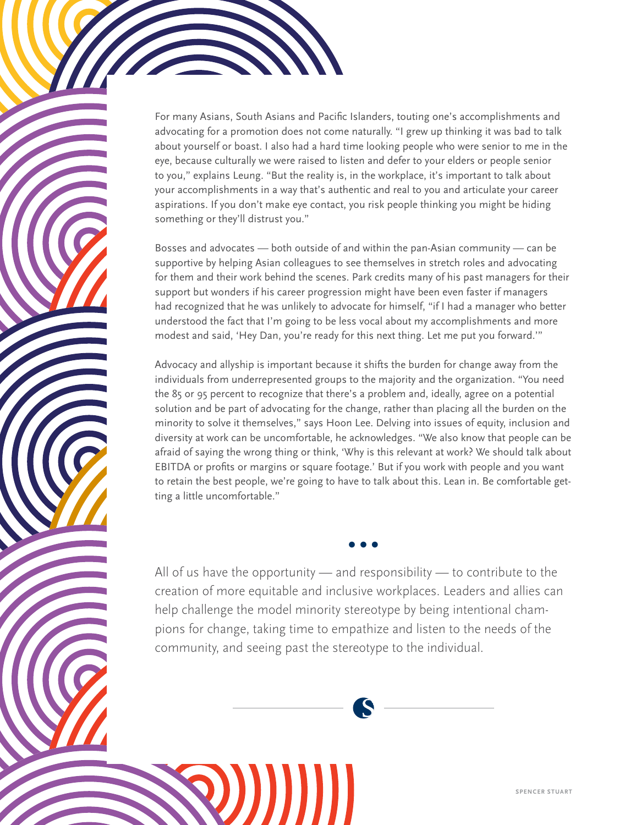For many Asians, South Asians and Pacific Islanders, touting one's accomplishments and advocating for a promotion does not come naturally. "I grew up thinking it was bad to talk about yourself or boast. I also had a hard time looking people who were senior to me in the eye, because culturally we were raised to listen and defer to your elders or people senior to you," explains Leung. "But the reality is, in the workplace, it's important to talk about your accomplishments in a way that's authentic and real to you and articulate your career aspirations. If you don't make eye contact, you risk people thinking you might be hiding something or they'll distrust you."

**Confronting the Model Minority Myth**

Bosses and advocates — both outside of and within the pan-Asian community — can be supportive by helping Asian colleagues to see themselves in stretch roles and advocating for them and their work behind the scenes. Park credits many of his past managers for their support but wonders if his career progression might have been even faster if managers had recognized that he was unlikely to advocate for himself, "if I had a manager who better understood the fact that I'm going to be less vocal about my accomplishments and more modest and said, 'Hey Dan, you're ready for this next thing. Let me put you forward.'"

Advocacy and allyship is important because it shifts the burden for change away from the individuals from underrepresented groups to the majority and the organization. "You need the 85 or 95 percent to recognize that there's a problem and, ideally, agree on a potential solution and be part of advocating for the change, rather than placing all the burden on the minority to solve it themselves," says Hoon Lee. Delving into issues of equity, inclusion and diversity at work can be uncomfortable, he acknowledges. "We also know that people can be afraid of saying the wrong thing or think, 'Why is this relevant at work? We should talk about EBITDA or profits or margins or square footage.' But if you work with people and you want to retain the best people, we're going to have to talk about this. Lean in. Be comfortable getting a little uncomfortable."

All of us have the opportunity — and responsibility — to contribute to the creation of more equitable and inclusive workplaces. Leaders and allies can help challenge the model minority stereotype by being intentional champions for change, taking time to empathize and listen to the needs of the community, and seeing past the stereotype to the individual.

**• • •**